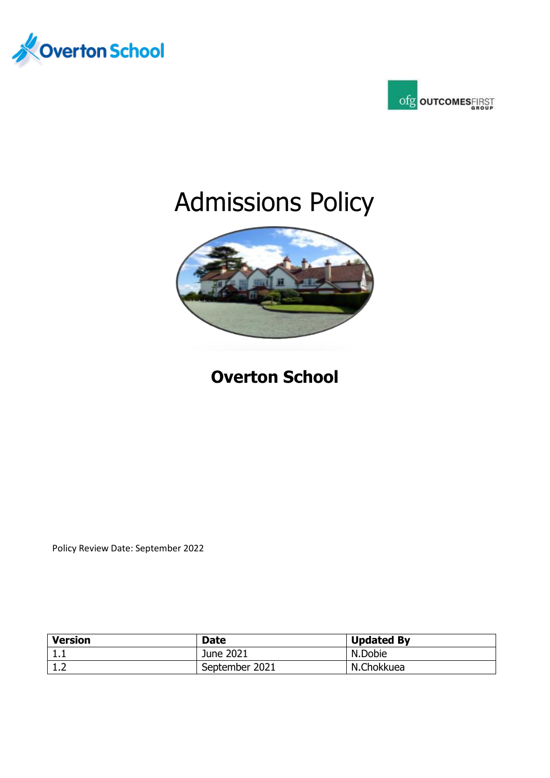



# Admissions Policy



# **Overton School**

Policy Review Date: September 2022

| <b>Version</b> | <b>Date</b>    | <b>Updated By</b> |
|----------------|----------------|-------------------|
| ᆠᇵ             | June 2021      | N.Dobie           |
| ∸∙             | September 2021 | N.Chokkuea        |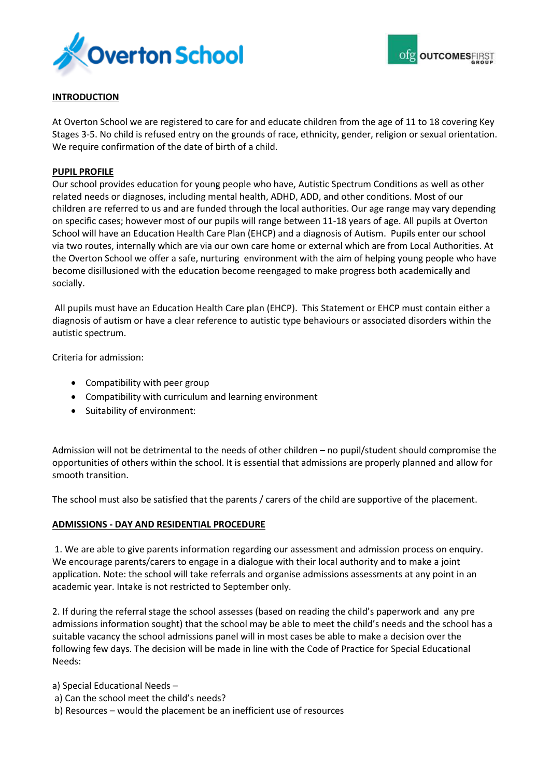



# **INTRODUCTION**

At Overton School we are registered to care for and educate children from the age of 11 to 18 covering Key Stages 3-5. No child is refused entry on the grounds of race, ethnicity, gender, religion or sexual orientation. We require confirmation of the date of birth of a child.

# **PUPIL PROFILE**

Our school provides education for young people who have, Autistic Spectrum Conditions as well as other related needs or diagnoses, including mental health, ADHD, ADD, and other conditions. Most of our children are referred to us and are funded through the local authorities. Our age range may vary depending on specific cases; however most of our pupils will range between 11-18 years of age. All pupils at Overton School will have an Education Health Care Plan (EHCP) and a diagnosis of Autism. Pupils enter our school via two routes, internally which are via our own care home or external which are from Local Authorities. At the Overton School we offer a safe, nurturing environment with the aim of helping young people who have become disillusioned with the education become reengaged to make progress both academically and socially.

All pupils must have an Education Health Care plan (EHCP). This Statement or EHCP must contain either a diagnosis of autism or have a clear reference to autistic type behaviours or associated disorders within the autistic spectrum.

Criteria for admission:

- Compatibility with peer group
- Compatibility with curriculum and learning environment
- Suitability of environment:

Admission will not be detrimental to the needs of other children – no pupil/student should compromise the opportunities of others within the school. It is essential that admissions are properly planned and allow for smooth transition.

The school must also be satisfied that the parents / carers of the child are supportive of the placement.

# **ADMISSIONS - DAY AND RESIDENTIAL PROCEDURE**

1. We are able to give parents information regarding our assessment and admission process on enquiry. We encourage parents/carers to engage in a dialogue with their local authority and to make a joint application. Note: the school will take referrals and organise admissions assessments at any point in an academic year. Intake is not restricted to September only.

2. If during the referral stage the school assesses (based on reading the child's paperwork and any pre admissions information sought) that the school may be able to meet the child's needs and the school has a suitable vacancy the school admissions panel will in most cases be able to make a decision over the following few days. The decision will be made in line with the Code of Practice for Special Educational Needs:

a) Special Educational Needs –

- a) Can the school meet the child's needs?
- b) Resources would the placement be an inefficient use of resources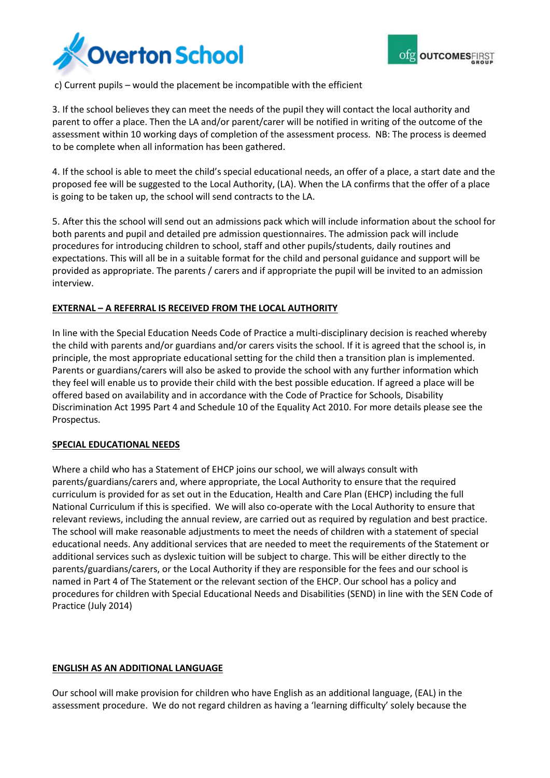



c) Current pupils – would the placement be incompatible with the efficient

3. If the school believes they can meet the needs of the pupil they will contact the local authority and parent to offer a place. Then the LA and/or parent/carer will be notified in writing of the outcome of the assessment within 10 working days of completion of the assessment process. NB: The process is deemed to be complete when all information has been gathered.

4. If the school is able to meet the child's special educational needs, an offer of a place, a start date and the proposed fee will be suggested to the Local Authority, (LA). When the LA confirms that the offer of a place is going to be taken up, the school will send contracts to the LA.

5. After this the school will send out an admissions pack which will include information about the school for both parents and pupil and detailed pre admission questionnaires. The admission pack will include procedures for introducing children to school, staff and other pupils/students, daily routines and expectations. This will all be in a suitable format for the child and personal guidance and support will be provided as appropriate. The parents / carers and if appropriate the pupil will be invited to an admission interview.

# **EXTERNAL – A REFERRAL IS RECEIVED FROM THE LOCAL AUTHORITY**

In line with the Special Education Needs Code of Practice a multi-disciplinary decision is reached whereby the child with parents and/or guardians and/or carers visits the school. If it is agreed that the school is, in principle, the most appropriate educational setting for the child then a transition plan is implemented. Parents or guardians/carers will also be asked to provide the school with any further information which they feel will enable us to provide their child with the best possible education. If agreed a place will be offered based on availability and in accordance with the Code of Practice for Schools, Disability Discrimination Act 1995 Part 4 and Schedule 10 of the Equality Act 2010. For more details please see the Prospectus.

# **SPECIAL EDUCATIONAL NEEDS**

Where a child who has a Statement of EHCP joins our school, we will always consult with parents/guardians/carers and, where appropriate, the Local Authority to ensure that the required curriculum is provided for as set out in the Education, Health and Care Plan (EHCP) including the full National Curriculum if this is specified. We will also co-operate with the Local Authority to ensure that relevant reviews, including the annual review, are carried out as required by regulation and best practice. The school will make reasonable adjustments to meet the needs of children with a statement of special educational needs. Any additional services that are needed to meet the requirements of the Statement or additional services such as dyslexic tuition will be subject to charge. This will be either directly to the parents/guardians/carers, or the Local Authority if they are responsible for the fees and our school is named in Part 4 of The Statement or the relevant section of the EHCP. Our school has a policy and procedures for children with Special Educational Needs and Disabilities (SEND) in line with the SEN Code of Practice (July 2014)

# **ENGLISH AS AN ADDITIONAL LANGUAGE**

Our school will make provision for children who have English as an additional language, (EAL) in the assessment procedure. We do not regard children as having a 'learning difficulty' solely because the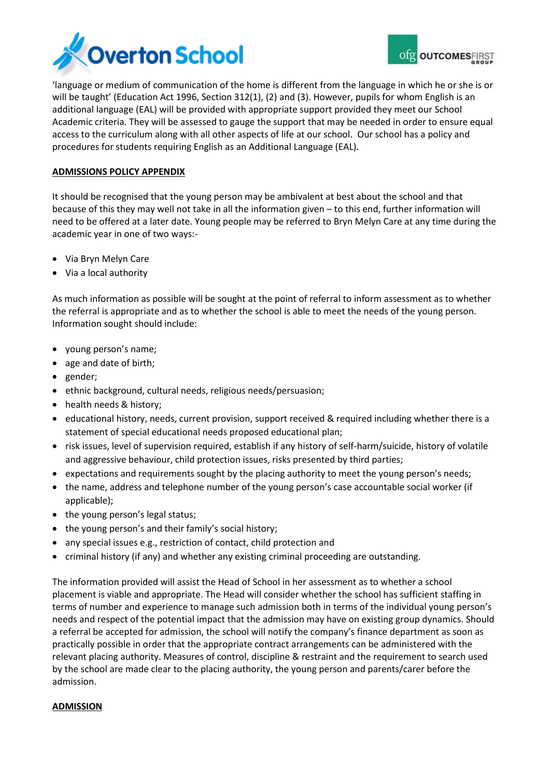

'language or medium of communication of the home is different from the language in which he or she is or will be taught' (Education Act 1996, Section 312(1), (2) and (3). However, pupils for whom English is an additional language (EAL) will be provided with appropriate support provided they meet our School Academic criteria. They will be assessed to gauge the support that may be needed in order to ensure equal access to the curriculum along with all other aspects of life at our school. Our school has a policy and procedures for students requiring English as an Additional Language (EAL).

# **ADMISSIONS POLICY APPENDIX**

It should be recognised that the young person may be ambivalent at best about the school and that because of this they may well not take in all the information given – to this end, further information will need to be offered at a later date. Young people may be referred to Bryn Melyn Care at any time during the academic year in one of two ways:-

- Via Bryn Melyn Care
- Via a local authority

As much information as possible will be sought at the point of referral to inform assessment as to whether the referral is appropriate and as to whether the school is able to meet the needs of the young person. Information sought should include:

- young person's name;
- age and date of birth;
- gender;
- ethnic background, cultural needs, religious needs/persuasion;
- health needs & history;
- educational history, needs, current provision, support received & required including whether there is a statement of special educational needs proposed educational plan;
- risk issues, level of supervision required, establish if any history of self-harm/suicide, history of volatile and aggressive behaviour, child protection issues, risks presented by third parties;
- expectations and requirements sought by the placing authority to meet the young person's needs;
- the name, address and telephone number of the young person's case accountable social worker (if applicable);
- the young person's legal status;
- the young person's and their family's social history;
- any special issues e.g., restriction of contact, child protection and
- criminal history (if any) and whether any existing criminal proceeding are outstanding.

The information provided will assist the Head of School in her assessment as to whether a school placement is viable and appropriate. The Head will consider whether the school has sufficient staffing in terms of number and experience to manage such admission both in terms of the individual young person's needs and respect of the potential impact that the admission may have on existing group dynamics. Should a referral be accepted for admission, the school will notify the company's finance department as soon as practically possible in order that the appropriate contract arrangements can be administered with the relevant placing authority. Measures of control, discipline & restraint and the requirement to search used by the school are made clear to the placing authority, the young person and parents/carer before the admission.

# **ADMISSION**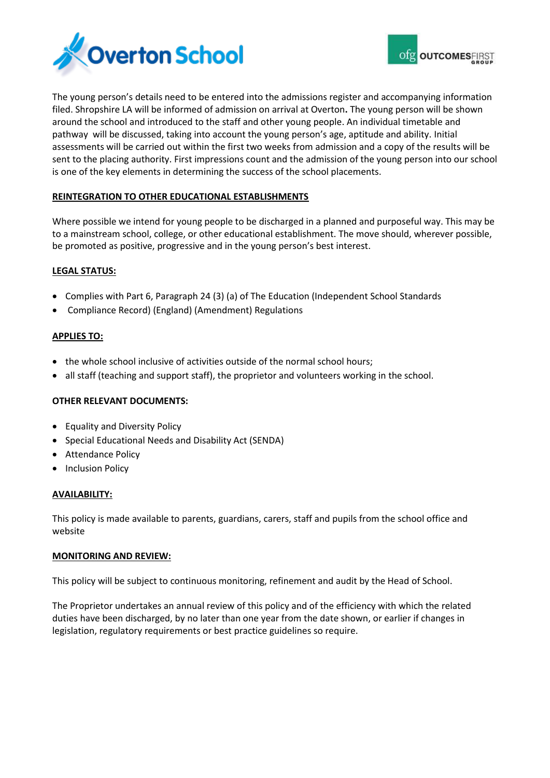



The young person's details need to be entered into the admissions register and accompanying information filed. Shropshire LA will be informed of admission on arrival at Overton**.** The young person will be shown around the school and introduced to the staff and other young people. An individual timetable and pathway will be discussed, taking into account the young person's age, aptitude and ability. Initial assessments will be carried out within the first two weeks from admission and a copy of the results will be sent to the placing authority. First impressions count and the admission of the young person into our school is one of the key elements in determining the success of the school placements.

# **REINTEGRATION TO OTHER EDUCATIONAL ESTABLISHMENTS**

Where possible we intend for young people to be discharged in a planned and purposeful way. This may be to a mainstream school, college, or other educational establishment. The move should, wherever possible, be promoted as positive, progressive and in the young person's best interest.

# **LEGAL STATUS:**

- Complies with Part 6, Paragraph 24 (3) (a) of The Education (Independent School Standards
- Compliance Record) (England) (Amendment) Regulations

# **APPLIES TO:**

- the whole school inclusive of activities outside of the normal school hours;
- all staff (teaching and support staff), the proprietor and volunteers working in the school.

# **OTHER RELEVANT DOCUMENTS:**

- Equality and Diversity Policy
- Special Educational Needs and Disability Act (SENDA)
- Attendance Policy
- Inclusion Policy

# **AVAILABILITY:**

This policy is made available to parents, guardians, carers, staff and pupils from the school office and website

# **MONITORING AND REVIEW:**

This policy will be subject to continuous monitoring, refinement and audit by the Head of School.

The Proprietor undertakes an annual review of this policy and of the efficiency with which the related duties have been discharged, by no later than one year from the date shown, or earlier if changes in legislation, regulatory requirements or best practice guidelines so require.